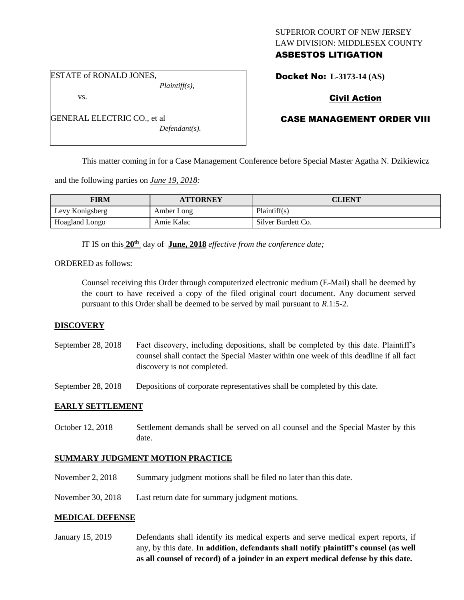#### SUPERIOR COURT OF NEW JERSEY LAW DIVISION: MIDDLESEX COUNTY ASBESTOS LITIGATION

ESTATE of RONALD JONES,

vs.

*Plaintiff(s),*

Docket No: **L-3173-14 (AS)** 

# Civil Action

#### GENERAL ELECTRIC CO., et al *Defendant(s).*

# CASE MANAGEMENT ORDER VIII

This matter coming in for a Case Management Conference before Special Master Agatha N. Dzikiewicz

and the following parties on *June 19, 2018:*

| <b>FIRM</b>     | <b>ATTORNEY</b> | CLIENT             |
|-----------------|-----------------|--------------------|
| Levy Konigsberg | Amber Long      | Plaintiff(s)       |
| Hoagland Longo  | Amie Kalac      | Silver Burdett Co. |

IT IS on this **20th** day of **June, 2018** *effective from the conference date;*

ORDERED as follows:

Counsel receiving this Order through computerized electronic medium (E-Mail) shall be deemed by the court to have received a copy of the filed original court document. Any document served pursuant to this Order shall be deemed to be served by mail pursuant to *R*.1:5-2.

## **DISCOVERY**

September 28, 2018 Fact discovery, including depositions, shall be completed by this date. Plaintiff's counsel shall contact the Special Master within one week of this deadline if all fact discovery is not completed.

September 28, 2018 Depositions of corporate representatives shall be completed by this date.

## **EARLY SETTLEMENT**

October 12, 2018 Settlement demands shall be served on all counsel and the Special Master by this date.

## **SUMMARY JUDGMENT MOTION PRACTICE**

- November 2, 2018 Summary judgment motions shall be filed no later than this date.
- November 30, 2018 Last return date for summary judgment motions.

## **MEDICAL DEFENSE**

January 15, 2019 Defendants shall identify its medical experts and serve medical expert reports, if any, by this date. **In addition, defendants shall notify plaintiff's counsel (as well as all counsel of record) of a joinder in an expert medical defense by this date.**